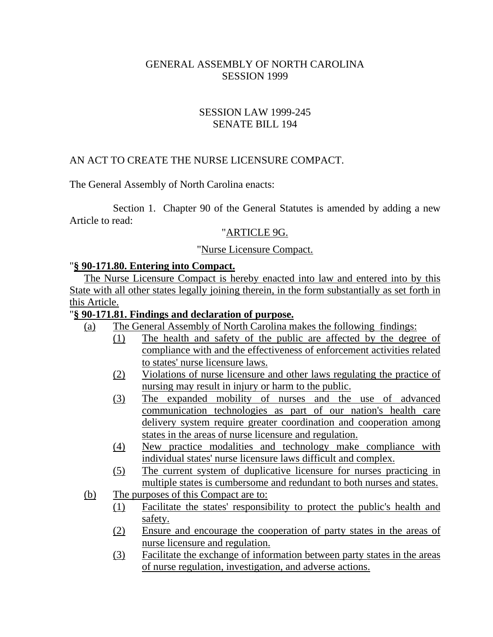#### GENERAL ASSEMBLY OF NORTH CAROLINA SESSION 1999

### SESSION LAW 1999-245 SENATE BILL 194

## AN ACT TO CREATE THE NURSE LICENSURE COMPACT.

The General Assembly of North Carolina enacts:

Section 1. Chapter 90 of the General Statutes is amended by adding a new Article to read:

#### "ARTICLE 9G.

#### "Nurse Licensure Compact.

#### "**§ 90-171.80. Entering into Compact.**

The Nurse Licensure Compact is hereby enacted into law and entered into by this State with all other states legally joining therein, in the form substantially as set forth in this Article.

#### "**§ 90-171.81. Findings and declaration of purpose.**

- (a) The General Assembly of North Carolina makes the following findings:
	- (1) The health and safety of the public are affected by the degree of compliance with and the effectiveness of enforcement activities related to states' nurse licensure laws.
	- (2) Violations of nurse licensure and other laws regulating the practice of nursing may result in injury or harm to the public.
	- (3) The expanded mobility of nurses and the use of advanced communication technologies as part of our nation's health care delivery system require greater coordination and cooperation among states in the areas of nurse licensure and regulation.
	- (4) New practice modalities and technology make compliance with individual states' nurse licensure laws difficult and complex.
	- (5) The current system of duplicative licensure for nurses practicing in multiple states is cumbersome and redundant to both nurses and states.
- (b) The purposes of this Compact are to:
	- (1) Facilitate the states' responsibility to protect the public's health and safety.
	- (2) Ensure and encourage the cooperation of party states in the areas of nurse licensure and regulation.
	- (3) Facilitate the exchange of information between party states in the areas of nurse regulation, investigation, and adverse actions.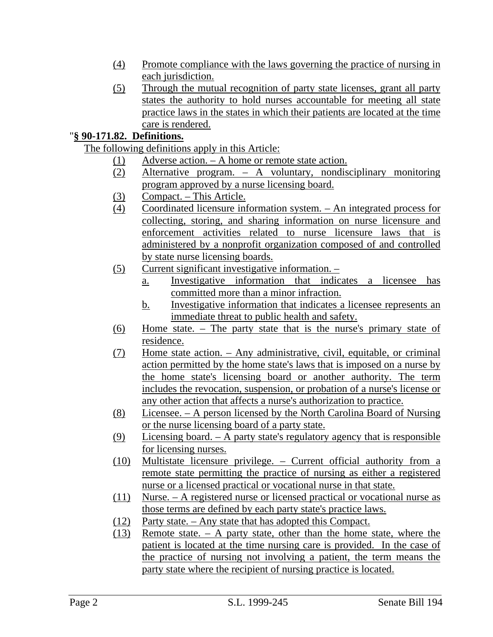- (4) Promote compliance with the laws governing the practice of nursing in each jurisdiction.
- (5) Through the mutual recognition of party state licenses, grant all party states the authority to hold nurses accountable for meeting all state practice laws in the states in which their patients are located at the time care is rendered.

# "**§ 90-171.82. Definitions.**

The following definitions apply in this Article:

- (1) Adverse action. A home or remote state action.
- (2) Alternative program. A voluntary, nondisciplinary monitoring program approved by a nurse licensing board.
- (3) Compact. This Article.
- (4) Coordinated licensure information system. An integrated process for collecting, storing, and sharing information on nurse licensure and enforcement activities related to nurse licensure laws that is administered by a nonprofit organization composed of and controlled by state nurse licensing boards.
- (5) Current significant investigative information.
	- a. Investigative information that indicates a licensee has committed more than a minor infraction.
	- b. Investigative information that indicates a licensee represents an immediate threat to public health and safety.
- (6) Home state. The party state that is the nurse's primary state of residence.
- (7) Home state action. Any administrative, civil, equitable, or criminal action permitted by the home state's laws that is imposed on a nurse by the home state's licensing board or another authority. The term includes the revocation, suspension, or probation of a nurse's license or any other action that affects a nurse's authorization to practice.
- (8) Licensee. A person licensed by the North Carolina Board of Nursing or the nurse licensing board of a party state.
- (9) Licensing board. A party state's regulatory agency that is responsible for licensing nurses.
- (10) Multistate licensure privilege. Current official authority from a remote state permitting the practice of nursing as either a registered nurse or a licensed practical or vocational nurse in that state.
- (11) Nurse. A registered nurse or licensed practical or vocational nurse as those terms are defined by each party state's practice laws.
- (12) Party state. Any state that has adopted this Compact.
- (13) Remote state. A party state, other than the home state, where the patient is located at the time nursing care is provided. In the case of the practice of nursing not involving a patient, the term means the party state where the recipient of nursing practice is located.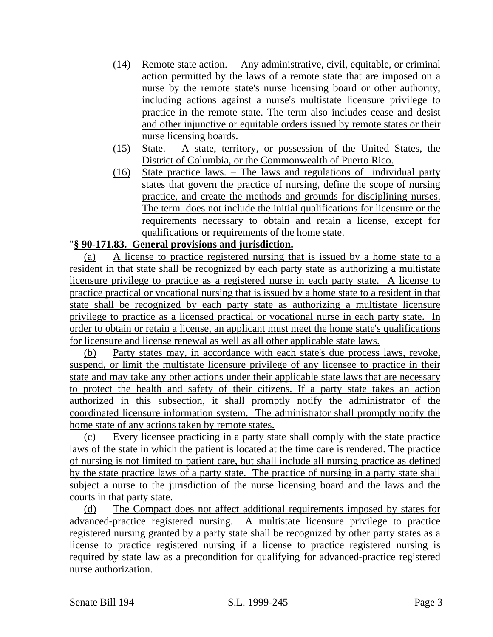- (14) Remote state action. Any administrative, civil, equitable, or criminal action permitted by the laws of a remote state that are imposed on a nurse by the remote state's nurse licensing board or other authority, including actions against a nurse's multistate licensure privilege to practice in the remote state. The term also includes cease and desist and other injunctive or equitable orders issued by remote states or their nurse licensing boards.
- (15) State. A state, territory, or possession of the United States, the District of Columbia, or the Commonwealth of Puerto Rico.
- (16) State practice laws. The laws and regulations of individual party states that govern the practice of nursing, define the scope of nursing practice, and create the methods and grounds for disciplining nurses. The term does not include the initial qualifications for licensure or the requirements necessary to obtain and retain a license, except for qualifications or requirements of the home state.

#### "**§ 90-171.83. General provisions and jurisdiction.**

(a) A license to practice registered nursing that is issued by a home state to a resident in that state shall be recognized by each party state as authorizing a multistate licensure privilege to practice as a registered nurse in each party state. A license to practice practical or vocational nursing that is issued by a home state to a resident in that state shall be recognized by each party state as authorizing a multistate licensure privilege to practice as a licensed practical or vocational nurse in each party state. In order to obtain or retain a license, an applicant must meet the home state's qualifications for licensure and license renewal as well as all other applicable state laws.

(b) Party states may, in accordance with each state's due process laws, revoke, suspend, or limit the multistate licensure privilege of any licensee to practice in their state and may take any other actions under their applicable state laws that are necessary to protect the health and safety of their citizens. If a party state takes an action authorized in this subsection, it shall promptly notify the administrator of the coordinated licensure information system. The administrator shall promptly notify the home state of any actions taken by remote states.

(c) Every licensee practicing in a party state shall comply with the state practice laws of the state in which the patient is located at the time care is rendered. The practice of nursing is not limited to patient care, but shall include all nursing practice as defined by the state practice laws of a party state. The practice of nursing in a party state shall subject a nurse to the jurisdiction of the nurse licensing board and the laws and the courts in that party state.

(d) The Compact does not affect additional requirements imposed by states for advanced-practice registered nursing. A multistate licensure privilege to practice registered nursing granted by a party state shall be recognized by other party states as a license to practice registered nursing if a license to practice registered nursing is required by state law as a precondition for qualifying for advanced-practice registered nurse authorization.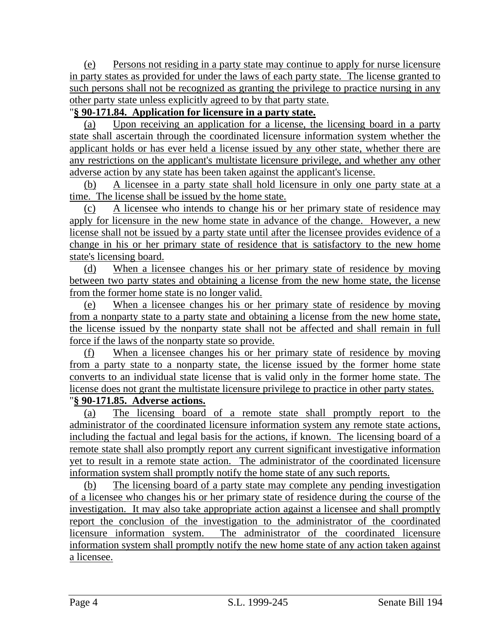(e) Persons not residing in a party state may continue to apply for nurse licensure in party states as provided for under the laws of each party state. The license granted to such persons shall not be recognized as granting the privilege to practice nursing in any other party state unless explicitly agreed to by that party state.

# "**§ 90-171.84. Application for licensure in a party state.**

(a) Upon receiving an application for a license, the licensing board in a party state shall ascertain through the coordinated licensure information system whether the applicant holds or has ever held a license issued by any other state, whether there are any restrictions on the applicant's multistate licensure privilege, and whether any other adverse action by any state has been taken against the applicant's license.

(b) A licensee in a party state shall hold licensure in only one party state at a time. The license shall be issued by the home state.

(c) A licensee who intends to change his or her primary state of residence may apply for licensure in the new home state in advance of the change. However, a new license shall not be issued by a party state until after the licensee provides evidence of a change in his or her primary state of residence that is satisfactory to the new home state's licensing board.

(d) When a licensee changes his or her primary state of residence by moving between two party states and obtaining a license from the new home state, the license from the former home state is no longer valid.

(e) When a licensee changes his or her primary state of residence by moving from a nonparty state to a party state and obtaining a license from the new home state, the license issued by the nonparty state shall not be affected and shall remain in full force if the laws of the nonparty state so provide.

(f) When a licensee changes his or her primary state of residence by moving from a party state to a nonparty state, the license issued by the former home state converts to an individual state license that is valid only in the former home state. The license does not grant the multistate licensure privilege to practice in other party states.

# "**§ 90-171.85. Adverse actions.**

(a) The licensing board of a remote state shall promptly report to the administrator of the coordinated licensure information system any remote state actions, including the factual and legal basis for the actions, if known. The licensing board of a remote state shall also promptly report any current significant investigative information yet to result in a remote state action. The administrator of the coordinated licensure information system shall promptly notify the home state of any such reports.

(b) The licensing board of a party state may complete any pending investigation of a licensee who changes his or her primary state of residence during the course of the investigation. It may also take appropriate action against a licensee and shall promptly report the conclusion of the investigation to the administrator of the coordinated licensure information system. The administrator of the coordinated licensure information system shall promptly notify the new home state of any action taken against a licensee.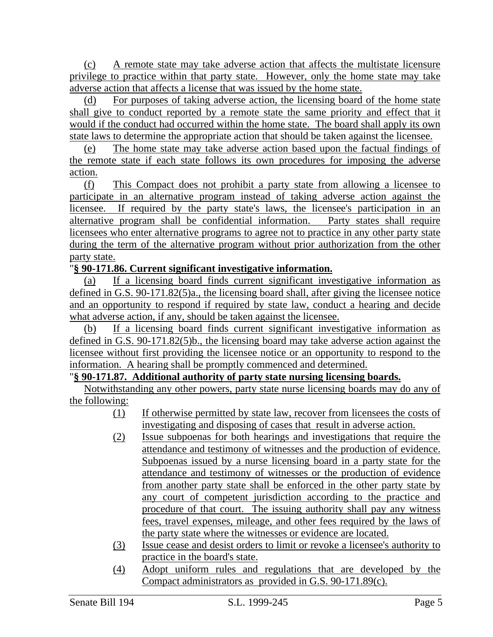(c) A remote state may take adverse action that affects the multistate licensure privilege to practice within that party state. However, only the home state may take adverse action that affects a license that was issued by the home state.

(d) For purposes of taking adverse action, the licensing board of the home state shall give to conduct reported by a remote state the same priority and effect that it would if the conduct had occurred within the home state. The board shall apply its own state laws to determine the appropriate action that should be taken against the licensee.

(e) The home state may take adverse action based upon the factual findings of the remote state if each state follows its own procedures for imposing the adverse action.

(f) This Compact does not prohibit a party state from allowing a licensee to participate in an alternative program instead of taking adverse action against the licensee. If required by the party state's laws, the licensee's participation in an alternative program shall be confidential information. Party states shall require licensees who enter alternative programs to agree not to practice in any other party state during the term of the alternative program without prior authorization from the other party state.

## "**§ 90-171.86. Current significant investigative information.**

(a) If a licensing board finds current significant investigative information as defined in G.S. 90-171.82(5)a., the licensing board shall, after giving the licensee notice and an opportunity to respond if required by state law, conduct a hearing and decide what adverse action, if any, should be taken against the licensee.

(b) If a licensing board finds current significant investigative information as defined in G.S. 90-171.82(5)b., the licensing board may take adverse action against the licensee without first providing the licensee notice or an opportunity to respond to the information. A hearing shall be promptly commenced and determined.

### "**§ 90-171.87. Additional authority of party state nursing licensing boards.**

Notwithstanding any other powers, party state nurse licensing boards may do any of the following:

- (1) If otherwise permitted by state law, recover from licensees the costs of investigating and disposing of cases that result in adverse action.
- (2) Issue subpoenas for both hearings and investigations that require the attendance and testimony of witnesses and the production of evidence. Subpoenas issued by a nurse licensing board in a party state for the attendance and testimony of witnesses or the production of evidence from another party state shall be enforced in the other party state by any court of competent jurisdiction according to the practice and procedure of that court. The issuing authority shall pay any witness fees, travel expenses, mileage, and other fees required by the laws of the party state where the witnesses or evidence are located.
- (3) Issue cease and desist orders to limit or revoke a licensee's authority to practice in the board's state.
- (4) Adopt uniform rules and regulations that are developed by the Compact administrators as provided in G.S. 90-171.89(c).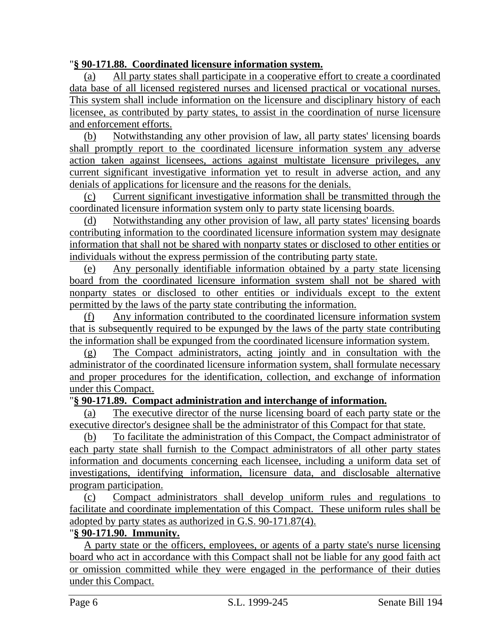## "**§ 90-171.88. Coordinated licensure information system.**

(a) All party states shall participate in a cooperative effort to create a coordinated data base of all licensed registered nurses and licensed practical or vocational nurses. This system shall include information on the licensure and disciplinary history of each licensee, as contributed by party states, to assist in the coordination of nurse licensure and enforcement efforts.

(b) Notwithstanding any other provision of law, all party states' licensing boards shall promptly report to the coordinated licensure information system any adverse action taken against licensees, actions against multistate licensure privileges, any current significant investigative information yet to result in adverse action, and any denials of applications for licensure and the reasons for the denials.

(c) Current significant investigative information shall be transmitted through the coordinated licensure information system only to party state licensing boards.

(d) Notwithstanding any other provision of law, all party states' licensing boards contributing information to the coordinated licensure information system may designate information that shall not be shared with nonparty states or disclosed to other entities or individuals without the express permission of the contributing party state.

(e) Any personally identifiable information obtained by a party state licensing board from the coordinated licensure information system shall not be shared with nonparty states or disclosed to other entities or individuals except to the extent permitted by the laws of the party state contributing the information.

(f) Any information contributed to the coordinated licensure information system that is subsequently required to be expunged by the laws of the party state contributing the information shall be expunged from the coordinated licensure information system.

(g) The Compact administrators, acting jointly and in consultation with the administrator of the coordinated licensure information system, shall formulate necessary and proper procedures for the identification, collection, and exchange of information under this Compact.

### "**§ 90-171.89. Compact administration and interchange of information.**

(a) The executive director of the nurse licensing board of each party state or the executive director's designee shall be the administrator of this Compact for that state.

(b) To facilitate the administration of this Compact, the Compact administrator of each party state shall furnish to the Compact administrators of all other party states information and documents concerning each licensee, including a uniform data set of investigations, identifying information, licensure data, and disclosable alternative program participation.

(c) Compact administrators shall develop uniform rules and regulations to facilitate and coordinate implementation of this Compact. These uniform rules shall be adopted by party states as authorized in G.S. 90-171.87(4).

# "**§ 90-171.90. Immunity.**

A party state or the officers, employees, or agents of a party state's nurse licensing board who act in accordance with this Compact shall not be liable for any good faith act or omission committed while they were engaged in the performance of their duties under this Compact.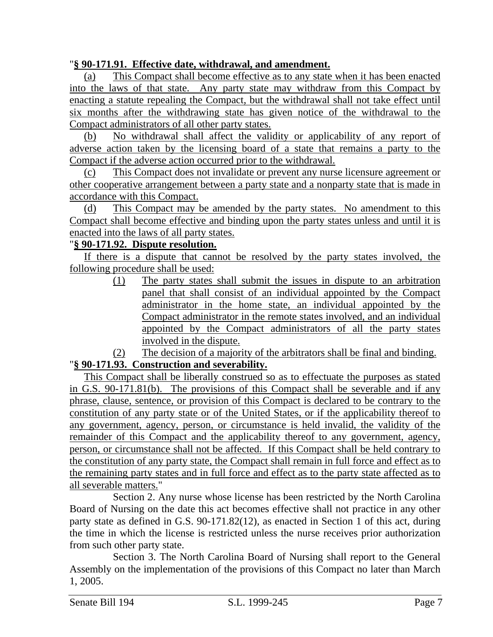## "**§ 90-171.91. Effective date, withdrawal, and amendment.**

(a) This Compact shall become effective as to any state when it has been enacted into the laws of that state. Any party state may withdraw from this Compact by enacting a statute repealing the Compact, but the withdrawal shall not take effect until six months after the withdrawing state has given notice of the withdrawal to the Compact administrators of all other party states.

(b) No withdrawal shall affect the validity or applicability of any report of adverse action taken by the licensing board of a state that remains a party to the Compact if the adverse action occurred prior to the withdrawal.

(c) This Compact does not invalidate or prevent any nurse licensure agreement or other cooperative arrangement between a party state and a nonparty state that is made in accordance with this Compact.

(d) This Compact may be amended by the party states. No amendment to this Compact shall become effective and binding upon the party states unless and until it is enacted into the laws of all party states.

## "**§ 90-171.92. Dispute resolution.**

If there is a dispute that cannot be resolved by the party states involved, the following procedure shall be used:

> (1) The party states shall submit the issues in dispute to an arbitration panel that shall consist of an individual appointed by the Compact administrator in the home state, an individual appointed by the Compact administrator in the remote states involved, and an individual appointed by the Compact administrators of all the party states involved in the dispute.

(2) The decision of a majority of the arbitrators shall be final and binding.

# "**§ 90-171.93. Construction and severability.**

This Compact shall be liberally construed so as to effectuate the purposes as stated in G.S. 90-171.81(b). The provisions of this Compact shall be severable and if any phrase, clause, sentence, or provision of this Compact is declared to be contrary to the constitution of any party state or of the United States, or if the applicability thereof to any government, agency, person, or circumstance is held invalid, the validity of the remainder of this Compact and the applicability thereof to any government, agency, person, or circumstance shall not be affected. If this Compact shall be held contrary to the constitution of any party state, the Compact shall remain in full force and effect as to the remaining party states and in full force and effect as to the party state affected as to all severable matters."

Section 2. Any nurse whose license has been restricted by the North Carolina Board of Nursing on the date this act becomes effective shall not practice in any other party state as defined in G.S. 90-171.82(12), as enacted in Section 1 of this act, during the time in which the license is restricted unless the nurse receives prior authorization from such other party state.

Section 3. The North Carolina Board of Nursing shall report to the General Assembly on the implementation of the provisions of this Compact no later than March 1, 2005.